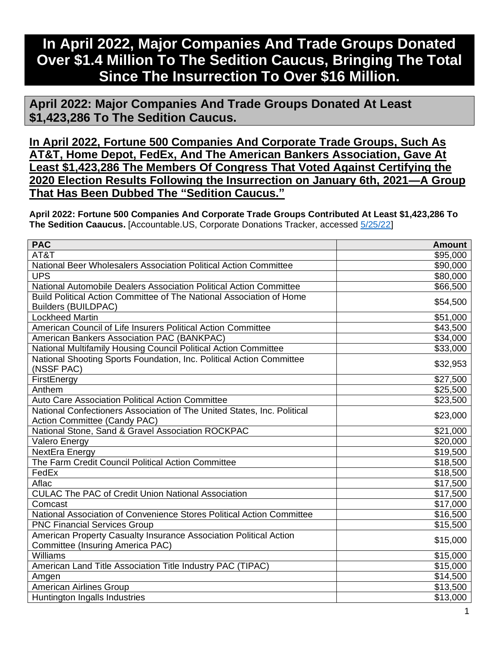## **In April 2022, Major Companies And Trade Groups Donated Over \$1.4 Million To The Sedition Caucus, Bringing The Total Since The Insurrection To Over \$16 Million.**

**April 2022: Major Companies And Trade Groups Donated At Least \$1,423,286 To The Sedition Caucus.**

**In April 2022, Fortune 500 Companies And Corporate Trade Groups, Such As AT&T, Home Depot, FedEx, And The American Bankers Association, Gave At Least \$1,423,286 The Members Of Congress That Voted Against Certifying the 2020 Election Results Following the Insurrection on January 6th, 2021—A Group That Has Been Dubbed The "Sedition Caucus."**

**April 2022: Fortune 500 Companies And Corporate Trade Groups Contributed At Least \$1,423,286 To The Sedition Caaucus.** [Accountable.US, Corporate Donations Tracker, accessed [5/25/22\]](https://www.accountable.us/corporate-donations-tracker/)

| <b>PAC</b>                                                                                                     | <b>Amount</b>        |
|----------------------------------------------------------------------------------------------------------------|----------------------|
| AT&T                                                                                                           | \$95,000             |
| National Beer Wholesalers Association Political Action Committee                                               | \$90,000             |
| <b>UPS</b>                                                                                                     | \$80,000             |
| National Automobile Dealers Association Political Action Committee                                             | \$66,500             |
| Build Political Action Committee of The National Association of Home                                           | \$54,500             |
| <b>Builders (BUILDPAC)</b>                                                                                     |                      |
| <b>Lockheed Martin</b>                                                                                         | \$51,000             |
| American Council of Life Insurers Political Action Committee                                                   | \$43,500             |
| American Bankers Association PAC (BANKPAC)                                                                     | \$34,000             |
| National Multifamily Housing Council Political Action Committee                                                | \$33,000             |
| National Shooting Sports Foundation, Inc. Political Action Committee                                           | \$32,953             |
| (NSSF PAC)                                                                                                     |                      |
| FirstEnergy                                                                                                    | \$27,500             |
| Anthem                                                                                                         | \$25,500             |
| Auto Care Association Political Action Committee                                                               | \$23,500             |
| National Confectioners Association of The United States, Inc. Political<br><b>Action Committee (Candy PAC)</b> | \$23,000             |
| National Stone, Sand & Gravel Association ROCKPAC                                                              | \$21,000             |
| <b>Valero Energy</b>                                                                                           | \$20,000             |
| NextEra Energy                                                                                                 | \$19,500             |
| The Farm Credit Council Political Action Committee                                                             | \$18,500             |
| FedEx                                                                                                          | \$18,500             |
| Aflac                                                                                                          | \$17,500             |
| <b>CULAC The PAC of Credit Union National Association</b>                                                      | \$17,500             |
| Comcast                                                                                                        | \$17,000             |
| National Association of Convenience Stores Political Action Committee                                          | \$16,500             |
| <b>PNC Financial Services Group</b>                                                                            | \$15,500             |
| American Property Casualty Insurance Association Political Action                                              |                      |
| Committee (Insuring America PAC)                                                                               | \$15,000             |
| Williams                                                                                                       | \$15,000             |
| American Land Title Association Title Industry PAC (TIPAC)                                                     | $\overline{$}15,000$ |
| Amgen                                                                                                          | \$14,500             |
| American Airlines Group                                                                                        | \$13,500             |
| Huntington Ingalls Industries                                                                                  | \$13,000             |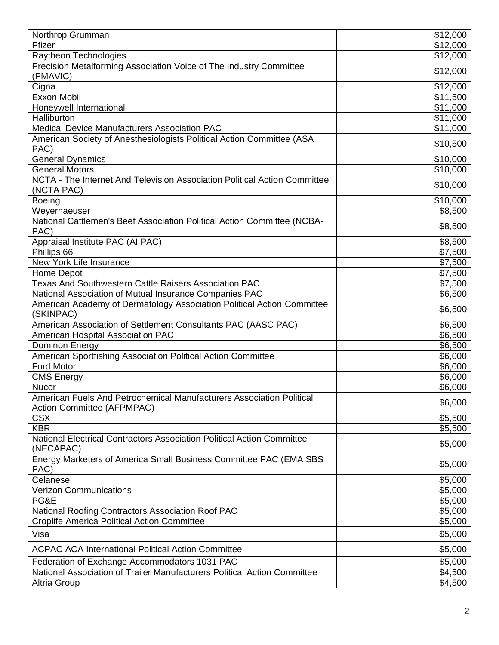| Northrop Grumman                                                                                   | \$12,000             |
|----------------------------------------------------------------------------------------------------|----------------------|
| Pfizer                                                                                             | \$12,000             |
| Raytheon Technologies                                                                              | \$12,000             |
| Precision Metalforming Association Voice of The Industry Committee                                 |                      |
| (PMAVIC)                                                                                           | \$12,000             |
| Cigna                                                                                              | \$12,000             |
| <b>Exxon Mobil</b>                                                                                 | \$11,500             |
| Honeywell International                                                                            | \$11,000             |
| Halliburton                                                                                        | $\overline{$}11,000$ |
| Medical Device Manufacturers Association PAC                                                       | \$11,000             |
| American Society of Anesthesiologists Political Action Committee (ASA<br>PAC)                      | \$10,500             |
| <b>General Dynamics</b>                                                                            | \$10,000             |
| <b>General Motors</b>                                                                              | \$10,000             |
| NCTA - The Internet And Television Association Political Action Committee                          |                      |
| (NCTA PAC)                                                                                         | \$10,000             |
| <b>Boeing</b>                                                                                      | \$10,000             |
| Weyerhaeuser                                                                                       | \$8,500              |
| National Cattlemen's Beef Association Political Action Committee (NCBA-<br>PAC)                    | \$8,500              |
| Appraisal Institute PAC (AI PAC)                                                                   | \$8,500              |
| Phillips 66                                                                                        | \$7,500              |
| New York Life Insurance                                                                            | \$7,500              |
| Home Depot                                                                                         | \$7,500              |
| Texas And Southwestern Cattle Raisers Association PAC                                              | \$7,500              |
| National Association of Mutual Insurance Companies PAC                                             | \$6,500              |
| American Academy of Dermatology Association Political Action Committee<br>(SKINPAC)                | \$6,500              |
| American Association of Settlement Consultants PAC (AASC PAC)                                      | \$6,500              |
| American Hospital Association PAC                                                                  | \$6,500              |
| Dominon Energy                                                                                     | \$6,500              |
| American Sportfishing Association Political Action Committee                                       | \$6,000              |
| <b>Ford Motor</b>                                                                                  | \$6,000              |
| <b>CMS Energy</b>                                                                                  | \$6,000              |
| <b>Nucor</b>                                                                                       | \$6,000              |
| American Fuels And Petrochemical Manufacturers Association Political<br>Action Committee (AFPMPAC) | \$6,000              |
| <b>CSX</b>                                                                                         | \$5,500              |
| <b>KBR</b>                                                                                         | \$5,500              |
| <b>National Electrical Contractors Association Political Action Committee</b>                      | \$5,000              |
| (NECAPAC)<br>Energy Marketers of America Small Business Committee PAC (EMA SBS                     |                      |
| PAC)                                                                                               | \$5,000              |
| Celanese                                                                                           | \$5,000              |
| <b>Verizon Communications</b>                                                                      | \$5,000              |
| PG&E                                                                                               | \$5,000              |
| National Roofing Contractors Association Roof PAC                                                  | \$5,000              |
| <b>Croplife America Political Action Committee</b>                                                 | \$5,000              |
| Visa                                                                                               | \$5,000              |
| <b>ACPAC ACA International Political Action Committee</b>                                          | \$5,000              |
| Federation of Exchange Accommodators 1031 PAC                                                      | \$5,000              |
| National Association of Trailer Manufacturers Political Action Committee                           | \$4,500              |
| <b>Altria Group</b>                                                                                | \$4,500              |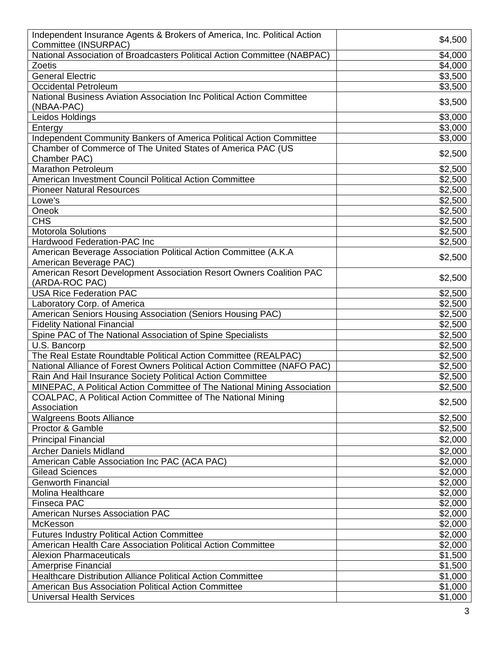| Independent Insurance Agents & Brokers of America, Inc. Political Action                      |                     |
|-----------------------------------------------------------------------------------------------|---------------------|
| Committee (INSURPAC)                                                                          | \$4,500             |
| National Association of Broadcasters Political Action Committee (NABPAC)                      | \$4,000             |
| Zoetis                                                                                        | \$4,000             |
| <b>General Electric</b>                                                                       | \$3,500             |
| <b>Occidental Petroleum</b>                                                                   | $\overline{$}3,500$ |
| National Business Aviation Association Inc Political Action Committee                         | \$3,500             |
| (NBAA-PAC)                                                                                    |                     |
| Leidos Holdings                                                                               | \$3,000             |
| Entergy                                                                                       | \$3,000             |
| Independent Community Bankers of America Political Action Committee                           | \$3,000             |
| Chamber of Commerce of The United States of America PAC (US                                   | \$2,500             |
| Chamber PAC)<br><b>Marathon Petroleum</b>                                                     | \$2,500             |
| American Investment Council Political Action Committee                                        | \$2,500             |
| <b>Pioneer Natural Resources</b>                                                              | \$2,500             |
| Lowe's                                                                                        | \$2,500             |
| Oneok                                                                                         | \$2,500             |
| <b>CHS</b>                                                                                    | \$2,500             |
| Motorola Solutions                                                                            |                     |
| <b>Hardwood Federation-PAC Inc</b>                                                            | \$2,500             |
|                                                                                               | \$2,500             |
| American Beverage Association Political Action Committee (A.K.A                               | \$2,500             |
| American Beverage PAC)<br>American Resort Development Association Resort Owners Coalition PAC |                     |
| (ARDA-ROC PAC)                                                                                | \$2,500             |
| <b>USA Rice Federation PAC</b>                                                                | \$2,500             |
| Laboratory Corp. of America                                                                   | \$2,500             |
| American Seniors Housing Association (Seniors Housing PAC)                                    | \$2,500             |
| <b>Fidelity National Financial</b>                                                            | \$2,500             |
| Spine PAC of The National Association of Spine Specialists                                    | \$2,500             |
| U.S. Bancorp                                                                                  | \$2,500             |
| The Real Estate Roundtable Political Action Committee (REALPAC)                               | \$2,500             |
| National Alliance of Forest Owners Political Action Committee (NAFO PAC)                      | \$2,500             |
| Rain And Hail Insurance Society Political Action Committee                                    | \$2,500             |
| MINEPAC, A Political Action Committee of The National Mining Association                      | \$2,500             |
| COALPAC, A Political Action Committee of The National Mining                                  |                     |
| Association                                                                                   | \$2,500             |
| <b>Walgreens Boots Alliance</b>                                                               | \$2,500             |
| Proctor & Gamble                                                                              | \$2,500             |
| <b>Principal Financial</b>                                                                    | \$2,000             |
|                                                                                               |                     |
| <b>Archer Daniels Midland</b>                                                                 | \$2,000             |
| American Cable Association Inc PAC (ACA PAC)                                                  | \$2,000             |
| <b>Gilead Sciences</b>                                                                        | \$2,000             |
| <b>Genworth Financial</b>                                                                     | \$2,000             |
| <b>Molina Healthcare</b>                                                                      | \$2,000             |
| Finseca PAC                                                                                   | \$2,000             |
| <b>American Nurses Association PAC</b>                                                        | \$2,000             |
| McKesson                                                                                      | \$2,000             |
| <b>Futures Industry Political Action Committee</b>                                            | \$2,000             |
| American Health Care Association Political Action Committee                                   | \$2,000             |
| <b>Alexion Pharmaceuticals</b>                                                                | \$1,500             |
| Amerprise Financial                                                                           | \$1,500             |
| <b>Healthcare Distribution Alliance Political Action Committee</b>                            | \$1,000             |
| American Bus Association Political Action Committee                                           | \$1,000             |
| <b>Universal Health Services</b>                                                              | \$1,000             |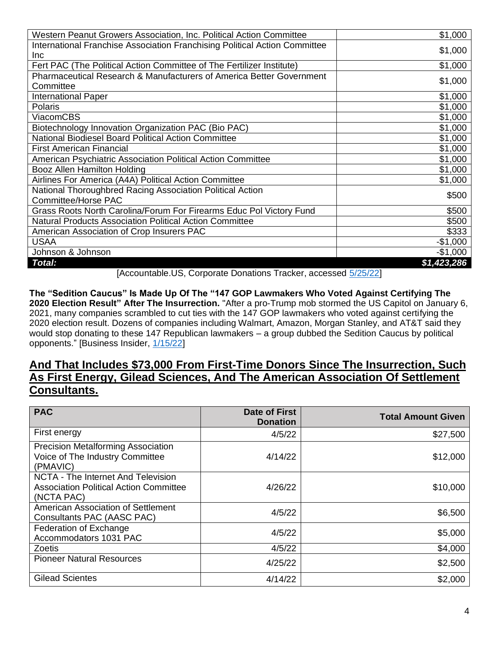| Western Peanut Growers Association, Inc. Political Action Committee        | \$1,000     |
|----------------------------------------------------------------------------|-------------|
| International Franchise Association Franchising Political Action Committee | \$1,000     |
| <b>Inc</b>                                                                 |             |
| Fert PAC (The Political Action Committee of The Fertilizer Institute)      | \$1,000     |
| Pharmaceutical Research & Manufacturers of America Better Government       |             |
| Committee                                                                  | \$1,000     |
| <b>International Paper</b>                                                 | \$1,000     |
| <b>Polaris</b>                                                             | \$1,000     |
| <b>ViacomCBS</b>                                                           | \$1,000     |
| Biotechnology Innovation Organization PAC (Bio PAC)                        | \$1,000     |
| National Biodiesel Board Political Action Committee                        | \$1,000     |
| <b>First American Financial</b>                                            | \$1,000     |
| American Psychiatric Association Political Action Committee                | \$1,000     |
| Booz Allen Hamilton Holding                                                | \$1,000     |
| Airlines For America (A4A) Political Action Committee                      | \$1,000     |
| National Thoroughbred Racing Association Political Action                  | \$500       |
| Committee/Horse PAC                                                        |             |
| Grass Roots North Carolina/Forum For Firearms Educ Pol Victory Fund        | \$500       |
| <b>Natural Products Association Political Action Committee</b>             | \$500       |
| American Association of Crop Insurers PAC                                  | \$333       |
| <b>USAA</b>                                                                | $-$1,000$   |
| Johnson & Johnson                                                          | $-$1,000$   |
| Total:                                                                     | \$1,423,286 |

[Accountable.US, Corporate Donations Tracker, accessed [5/25/22\]](https://www.accountable.us/corporate-donations-tracker/)

**The "Sedition Caucus" Is Made Up Of The "147 GOP Lawmakers Who Voted Against Certifying The 2020 Election Result" After The Insurrection.** "After a pro-Trump mob stormed the US Capitol on January 6, 2021, many companies scrambled to cut ties with the 147 GOP lawmakers who voted against certifying the 2020 election result. Dozens of companies including Walmart, Amazon, Morgan Stanley, and AT&T said they would stop donating to these 147 Republican lawmakers – a group dubbed the Sedition Caucus by political opponents." [Business Insider, [1/15/22\]](https://www.businessinsider.com/sedition-caucus-election-objectors-corporate-donations-capitol-siege-trump-biden-2022-1)

## **And That Includes \$73,000 From First-Time Donors Since The Insurrection, Such As First Energy, Gilead Sciences, And The American Association Of Settlement Consultants.**

| <b>PAC</b>                                                                                        | Date of First<br><b>Donation</b> | <b>Total Amount Given</b> |
|---------------------------------------------------------------------------------------------------|----------------------------------|---------------------------|
| First energy                                                                                      | 4/5/22                           | \$27,500                  |
| <b>Precision Metalforming Association</b><br>Voice of The Industry Committee<br>(PMAVIC)          | 4/14/22                          | \$12,000                  |
| NCTA - The Internet And Television<br><b>Association Political Action Committee</b><br>(NCTA PAC) | 4/26/22                          | \$10,000                  |
| American Association of Settlement<br>Consultants PAC (AASC PAC)                                  | 4/5/22                           | \$6,500                   |
| Federation of Exchange<br>Accommodators 1031 PAC                                                  | 4/5/22                           | \$5,000                   |
| <b>Zoetis</b>                                                                                     | 4/5/22                           | \$4,000                   |
| <b>Pioneer Natural Resources</b>                                                                  | 4/25/22                          | \$2,500                   |
| <b>Gilead Scientes</b>                                                                            | 4/14/22                          | \$2,000                   |